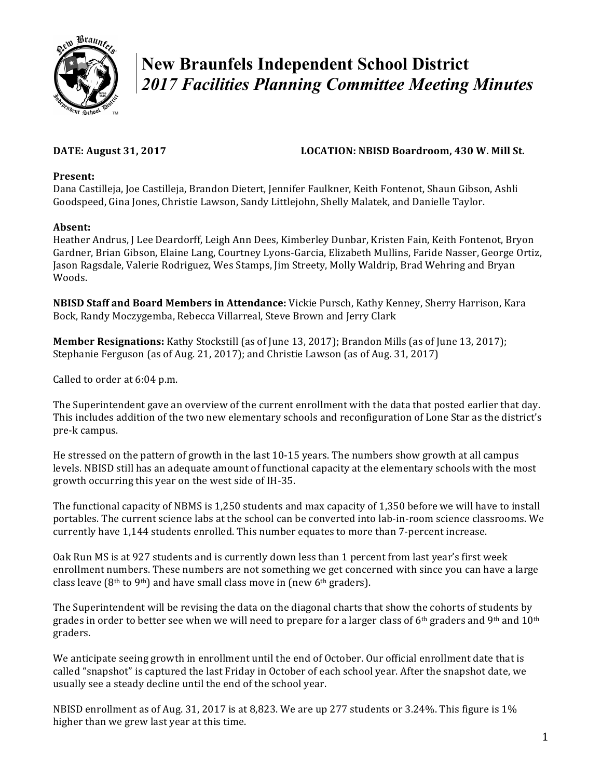

# **New Braunfels Independent School District**  *2017 Facilities Planning Committee Meeting Minutes*

# DATE: August 31, 2017 **LOCATION: NBISD Boardroom, 430 W. Mill St.**

### Present:

Dana Castilleja, Joe Castilleja, Brandon Dietert, Jennifer Faulkner, Keith Fontenot, Shaun Gibson, Ashli Goodspeed, Gina Jones, Christie Lawson, Sandy Littlejohn, Shelly Malatek, and Danielle Taylor.

## **Absent:**

Heather Andrus, J Lee Deardorff, Leigh Ann Dees, Kimberley Dunbar, Kristen Fain, Keith Fontenot, Bryon Gardner, Brian Gibson, Elaine Lang, Courtney Lyons-Garcia, Elizabeth Mullins, Faride Nasser, George Ortiz, Jason Ragsdale, Valerie Rodriguez, Wes Stamps, Jim Streety, Molly Waldrip, Brad Wehring and Bryan Woods.

**NBISD Staff and Board Members in Attendance:** Vickie Pursch, Kathy Kenney, Sherry Harrison, Kara Bock, Randy Moczygemba, Rebecca Villarreal, Steve Brown and Jerry Clark

**Member Resignations:** Kathy Stockstill (as of June 13, 2017); Brandon Mills (as of June 13, 2017); Stephanie Ferguson (as of Aug. 21, 2017); and Christie Lawson (as of Aug. 31, 2017)

Called to order at 6:04 p.m.

The Superintendent gave an overview of the current enrollment with the data that posted earlier that day. This includes addition of the two new elementary schools and reconfiguration of Lone Star as the district's pre-k campus.

He stressed on the pattern of growth in the last  $10-15$  years. The numbers show growth at all campus levels. NBISD still has an adequate amount of functional capacity at the elementary schools with the most growth occurring this year on the west side of IH-35.

The functional capacity of NBMS is 1,250 students and max capacity of 1,350 before we will have to install portables. The current science labs at the school can be converted into lab-in-room science classrooms. We currently have 1,144 students enrolled. This number equates to more than 7-percent increase.

Oak Run MS is at 927 students and is currently down less than 1 percent from last year's first week enrollment numbers. These numbers are not something we get concerned with since you can have a large class leave  $(8<sup>th</sup>$  to  $9<sup>th</sup>)$  and have small class move in (new 6<sup>th</sup> graders).

The Superintendent will be revising the data on the diagonal charts that show the cohorts of students by grades in order to better see when we will need to prepare for a larger class of  $6<sup>th</sup>$  graders and 9<sup>th</sup> and 10<sup>th</sup> graders. 

We anticipate seeing growth in enrollment until the end of October. Our official enrollment date that is called "snapshot" is captured the last Friday in October of each school year. After the snapshot date, we usually see a steady decline until the end of the school year.

NBISD enrollment as of Aug. 31, 2017 is at 8,823. We are up 277 students or 3.24%. This figure is 1% higher than we grew last year at this time.